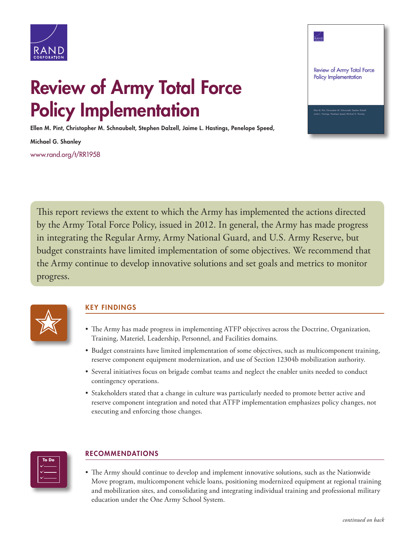

## Review of Army Total Force Policy Implementation

Ellen M. Pint, Christopher M. Schnaubelt, Stephen Dalzell, Jaime L. Hastings, Penelope Speed,

Michael G. Shanley [www.rand.org/t/RR1958](http://www.rand.org/t/RR1958)



This report reviews the extent to which the Army has implemented the actions directed by the Army Total Force Policy, issued in 2012. In general, the Army has made progress in integrating the Regular Army, Army National Guard, and U.S. Army Reserve, but budget constraints have limited implementation of some objectives. We recommend that the Army continue to develop innovative solutions and set goals and metrics to monitor progress.



- **KEY FINDINGS**<br>• The Army has made progress in implementing ATFP objectives across the Doctrine, Organization, Training, Materiel, Leadership, Personnel, and Facilities domains.
	- Budget constraints have limited implementation of some objectives, such as multicomponent training, reserve component equipment modernization, and use of Section 12304b mobilization authority.
	- Several initiatives focus on brigade combat teams and neglect the enabler units needed to conduct contingency operations.
	- Stakeholders stated that a change in culture was particularly needed to promote better active and reserve component integration and noted that ATFP implementation emphasizes policy changes, not executing and enforcing those changes.



## RECOMMENDATIONS

• The Army should continue to develop and implement innovative solutions, such as the Nationwide Move program, multicomponent vehicle loans, positioning modernized equipment at regional training and mobilization sites, and consolidating and integrating individual training and professional military education under the One Army School System.